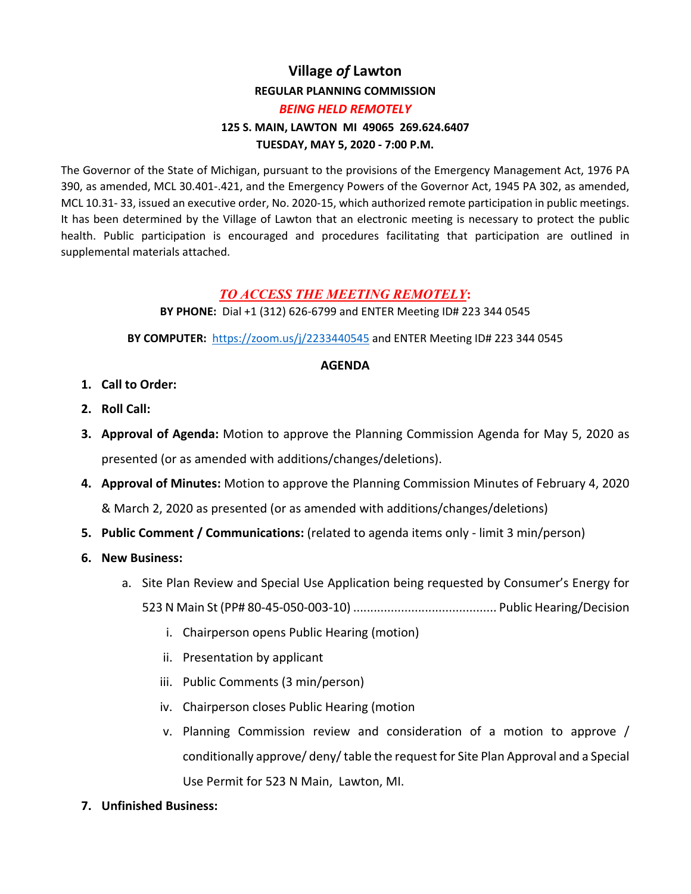## **Village** *of* **Lawton REGULAR PLANNING COMMISSION**

# *BEING HELD REMOTELY*

## **125 S. MAIN, LAWTON MI 49065 269.624.6407 TUESDAY, MAY 5, 2020 - 7:00 P.M.**

The Governor of the State of Michigan, pursuant to the provisions of the Emergency Management Act, 1976 PA 390, as amended, MCL 30.401-.421, and the Emergency Powers of the Governor Act, 1945 PA 302, as amended, MCL 10.31- 33, issued an executive order, No. 2020-15, which authorized remote participation in public meetings. It has been determined by the Village of Lawton that an electronic meeting is necessary to protect the public health. Public participation is encouraged and procedures facilitating that participation are outlined in supplemental materials attached.

### *TO ACCESS THE MEETING REMOTELY***:**

**BY PHONE:** Dial +1 (312) 626-6799 and ENTER Meeting ID# 223 344 0545

**BY COMPUTER:** <https://zoom.us/j/2233440545> and ENTER Meeting ID# 223 344 0545

#### **AGENDA**

- **1. Call to Order:**
- **2. Roll Call:**
- **3. Approval of Agenda:** Motion to approve the Planning Commission Agenda for May 5, 2020 as presented (or as amended with additions/changes/deletions).
- **4. Approval of Minutes:** Motion to approve the Planning Commission Minutes of February 4, 2020 & March 2, 2020 as presented (or as amended with additions/changes/deletions)
- **5. Public Comment / Communications:** (related to agenda items only limit 3 min/person)
- **6. New Business:**
	- a. Site Plan Review and Special Use Application being requested by Consumer's Energy for 523 N Main St (PP# 80-45-050-003-10) .......................................... Public Hearing/Decision
		- i. Chairperson opens Public Hearing (motion)
		- ii. Presentation by applicant
		- iii. Public Comments (3 min/person)
		- iv. Chairperson closes Public Hearing (motion
		- v. Planning Commission review and consideration of a motion to approve / conditionally approve/ deny/ table the request for Site Plan Approval and a Special Use Permit for 523 N Main, Lawton, MI.
- **7. Unfinished Business:**